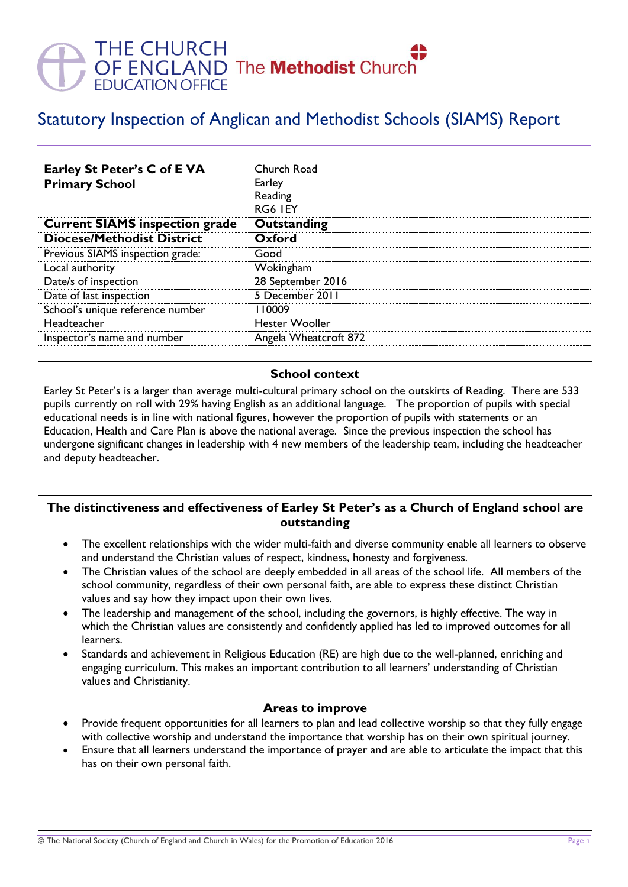# THE CHURCH<br>OF ENGLAND The **Methodist** Churc<br>EDUCATION OFFICE

# Statutory Inspection of Anglican and Methodist Schools (SIAMS) Report

| Earley St Peter's C of E VA<br><b>Primary School</b> | Church Road<br>Earley<br>Reading<br>RG6 IEY |
|------------------------------------------------------|---------------------------------------------|
| <b>Current SIAMS inspection grade</b>                | <b>Outstanding</b>                          |
| <b>Diocese/Methodist District</b>                    | Oxford                                      |
| Previous SIAMS inspection grade:                     | Good                                        |
| Local authority                                      | Wokingham                                   |
| Date/s of inspection                                 | 28 September 2016                           |
| Date of last inspection                              | 5 December 2011                             |
| School's unique reference number                     | 110009                                      |
| Headteacher                                          | <b>Hester Wooller</b>                       |
| Inspector's name and number                          | Angela Wheatcroft 872                       |

#### **School context**

Earley St Peter's is a larger than average multi-cultural primary school on the outskirts of Reading. There are 533 pupils currently on roll with 29% having English as an additional language. The proportion of pupils with special educational needs is in line with national figures, however the proportion of pupils with statements or an Education, Health and Care Plan is above the national average. Since the previous inspection the school has undergone significant changes in leadership with 4 new members of the leadership team, including the headteacher and deputy headteacher.

#### **The distinctiveness and effectiveness of Earley St Peter's as a Church of England school are outstanding**

- The excellent relationships with the wider multi-faith and diverse community enable all learners to observe and understand the Christian values of respect, kindness, honesty and forgiveness.
- The Christian values of the school are deeply embedded in all areas of the school life. All members of the school community, regardless of their own personal faith, are able to express these distinct Christian values and say how they impact upon their own lives.
- The leadership and management of the school, including the governors, is highly effective. The way in which the Christian values are consistently and confidently applied has led to improved outcomes for all learners.
- Standards and achievement in Religious Education (RE) are high due to the well-planned, enriching and engaging curriculum. This makes an important contribution to all learners' understanding of Christian values and Christianity.

#### **Areas to improve**

- Provide frequent opportunities for all learners to plan and lead collective worship so that they fully engage with collective worship and understand the importance that worship has on their own spiritual journey.
- Ensure that all learners understand the importance of prayer and are able to articulate the impact that this has on their own personal faith.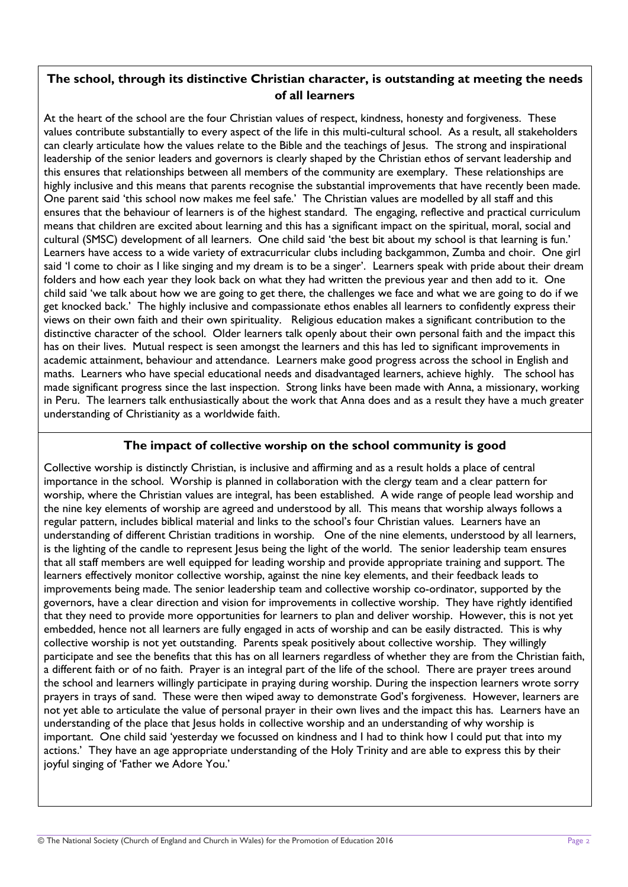### **The school, through its distinctive Christian character, is outstanding at meeting the needs of all learners**

At the heart of the school are the four Christian values of respect, kindness, honesty and forgiveness. These values contribute substantially to every aspect of the life in this multi-cultural school. As a result, all stakeholders can clearly articulate how the values relate to the Bible and the teachings of Jesus. The strong and inspirational leadership of the senior leaders and governors is clearly shaped by the Christian ethos of servant leadership and this ensures that relationships between all members of the community are exemplary. These relationships are highly inclusive and this means that parents recognise the substantial improvements that have recently been made. One parent said 'this school now makes me feel safe.' The Christian values are modelled by all staff and this ensures that the behaviour of learners is of the highest standard. The engaging, reflective and practical curriculum means that children are excited about learning and this has a significant impact on the spiritual, moral, social and cultural (SMSC) development of all learners. One child said 'the best bit about my school is that learning is fun.' Learners have access to a wide variety of extracurricular clubs including backgammon, Zumba and choir. One girl said 'I come to choir as I like singing and my dream is to be a singer'. Learners speak with pride about their dream folders and how each year they look back on what they had written the previous year and then add to it. One child said 'we talk about how we are going to get there, the challenges we face and what we are going to do if we get knocked back.' The highly inclusive and compassionate ethos enables all learners to confidently express their views on their own faith and their own spirituality. Religious education makes a significant contribution to the distinctive character of the school. Older learners talk openly about their own personal faith and the impact this has on their lives. Mutual respect is seen amongst the learners and this has led to significant improvements in academic attainment, behaviour and attendance. Learners make good progress across the school in English and maths. Learners who have special educational needs and disadvantaged learners, achieve highly. The school has made significant progress since the last inspection. Strong links have been made with Anna, a missionary, working in Peru. The learners talk enthusiastically about the work that Anna does and as a result they have a much greater understanding of Christianity as a worldwide faith.

#### **The impact of collective worship on the school community is good**

Collective worship is distinctly Christian, is inclusive and affirming and as a result holds a place of central importance in the school. Worship is planned in collaboration with the clergy team and a clear pattern for worship, where the Christian values are integral, has been established. A wide range of people lead worship and the nine key elements of worship are agreed and understood by all. This means that worship always follows a regular pattern, includes biblical material and links to the school's four Christian values. Learners have an understanding of different Christian traditions in worship. One of the nine elements, understood by all learners, is the lighting of the candle to represent Jesus being the light of the world. The senior leadership team ensures that all staff members are well equipped for leading worship and provide appropriate training and support. The learners effectively monitor collective worship, against the nine key elements, and their feedback leads to improvements being made. The senior leadership team and collective worship co-ordinator, supported by the governors, have a clear direction and vision for improvements in collective worship. They have rightly identified that they need to provide more opportunities for learners to plan and deliver worship. However, this is not yet embedded, hence not all learners are fully engaged in acts of worship and can be easily distracted. This is why collective worship is not yet outstanding. Parents speak positively about collective worship. They willingly participate and see the benefits that this has on all learners regardless of whether they are from the Christian faith, a different faith or of no faith. Prayer is an integral part of the life of the school. There are prayer trees around the school and learners willingly participate in praying during worship. During the inspection learners wrote sorry prayers in trays of sand. These were then wiped away to demonstrate God's forgiveness. However, learners are not yet able to articulate the value of personal prayer in their own lives and the impact this has. Learners have an understanding of the place that Jesus holds in collective worship and an understanding of why worship is important. One child said 'yesterday we focussed on kindness and I had to think how I could put that into my actions.' They have an age appropriate understanding of the Holy Trinity and are able to express this by their joyful singing of 'Father we Adore You.'